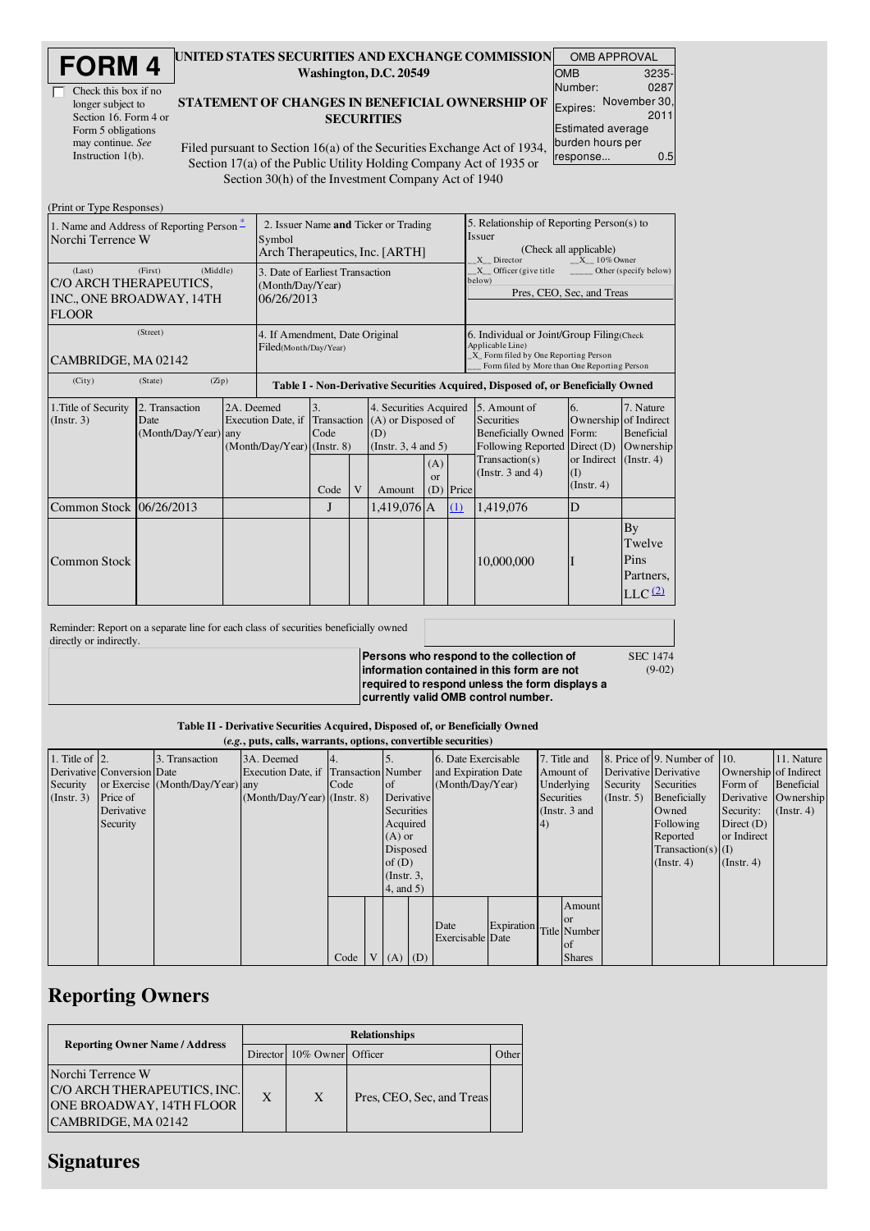| <b>FORM 4</b> |  |
|---------------|--|
|---------------|--|

| Check this box if no  |
|-----------------------|
| longer subject to     |
| Section 16. Form 4 or |
| Form 5 obligations    |
| may continue. See     |
| Instruction $1(b)$ .  |

#### UNITED STATES SECURITIES AND EXCHANGE COMMISSION Washington, D.C. 20549

#### STATEMENT OF CHANGES IN BENEFICIAL OWNERSHIP OF **SECURITIES**

| <b>OMB APPROVAL</b> |                      |
|---------------------|----------------------|
| <b>OMB</b>          | 3235-                |
| Number:             | 0287                 |
| Expires:            | November 30,<br>2011 |
| Estimated average   |                      |
| burden hours per    |                      |
| response            | 0.5                  |

Filed pursuant to Section 16(a) of the Securities Exchange Act of 1934, Section 17(a) of the Public Utility Holding Company Act of 1935 or Section 30(h) of the Investment Company Act of 1940

| (Print or Type Responses)                                                    |                                                |                                                                   |                                                     |                                                                        |   |                                                                                                                        |                                                                                                                        |                                                                                                                                                       |                                                                                                                                           |                                                                      |                                                           |
|------------------------------------------------------------------------------|------------------------------------------------|-------------------------------------------------------------------|-----------------------------------------------------|------------------------------------------------------------------------|---|------------------------------------------------------------------------------------------------------------------------|------------------------------------------------------------------------------------------------------------------------|-------------------------------------------------------------------------------------------------------------------------------------------------------|-------------------------------------------------------------------------------------------------------------------------------------------|----------------------------------------------------------------------|-----------------------------------------------------------|
| 1. Name and Address of Reporting Person $-$<br>Norchi Terrence W             | Symbol                                         |                                                                   |                                                     | 2. Issuer Name and Ticker or Trading<br>Arch Therapeutics, Inc. [ARTH] |   |                                                                                                                        | 5. Relationship of Reporting Person(s) to<br><b>Issuer</b><br>(Check all applicable)<br>X Director<br>$X = 10\%$ Owner |                                                                                                                                                       |                                                                                                                                           |                                                                      |                                                           |
| (Last)<br>C/O ARCH THERAPEUTICS,<br>INC., ONE BROADWAY, 14TH<br><b>FLOOR</b> | (Middle)                                       | 3. Date of Earliest Transaction<br>(Month/Day/Year)<br>06/26/2013 |                                                     |                                                                        |   |                                                                                                                        |                                                                                                                        | X Officer (give title<br>Other (specify below)<br>below)<br>Pres, CEO, Sec, and Treas                                                                 |                                                                                                                                           |                                                                      |                                                           |
| CAMBRIDGE, MA 02142                                                          |                                                | 4. If Amendment, Date Original<br>Filed(Month/Day/Year)           |                                                     |                                                                        |   |                                                                                                                        |                                                                                                                        | 6. Individual or Joint/Group Filing(Check<br>Applicable Line)<br>X Form filed by One Reporting Person<br>Form filed by More than One Reporting Person |                                                                                                                                           |                                                                      |                                                           |
| (City)                                                                       | (State)<br>(Zip)                               |                                                                   |                                                     |                                                                        |   |                                                                                                                        |                                                                                                                        | Table I - Non-Derivative Securities Acquired, Disposed of, or Beneficially Owned                                                                      |                                                                                                                                           |                                                                      |                                                           |
| 1. Title of Security<br>(Instr. 3)                                           | 2. Transaction<br>Date<br>(Month/Day/Year) any | 2A. Deemed                                                        | Execution Date, if<br>$(Month/Day/Year)$ (Instr. 8) | 3.<br>Transaction<br>Code<br>Code                                      | V | 4. Securities Acquired<br>$(A)$ or Disposed of<br>(D)<br>(Instr. $3, 4$ and $5$ )<br>(A)<br><b>or</b><br>(D)<br>Amount |                                                                                                                        | Price                                                                                                                                                 | 5. Amount of<br><b>Securities</b><br>Beneficially Owned Form:<br>Following Reported Direct (D)<br>Transaction(s)<br>(Instr. $3$ and $4$ ) | 6.<br>Ownership of Indirect<br>or Indirect<br>$\Omega$<br>(Instr. 4) | 7. Nature<br><b>Beneficial</b><br>Ownership<br>(Instr. 4) |
| Common Stock 106/26/2013                                                     |                                                |                                                                   |                                                     | J                                                                      |   | $1,419,076$ A                                                                                                          |                                                                                                                        | (1)                                                                                                                                                   | 1,419,076                                                                                                                                 | D                                                                    |                                                           |
| Common Stock                                                                 |                                                |                                                                   |                                                     |                                                                        |   |                                                                                                                        |                                                                                                                        |                                                                                                                                                       | 10,000,000                                                                                                                                |                                                                      | By<br>Twelve<br>Pins<br>Partners,<br>$LLC$ $(2)$          |

Reminder: Report on a separate line for each class of securities beneficially owned directly or indirectly.

**Persons who respond to the collection of information contained in this form are not required to respond unless the form displays a currently valid OMB control number.** SEC 1474

(9-02)

Table II - Derivative Securities Acquired, Disposed of, or Beneficially Owned

|                        | (e.g., puts, calls, warrants, options, convertible securities) |                                  |                                       |      |          |                  |  |                         |  |                         |                 |                  |                              |                       |                  |                       |  |
|------------------------|----------------------------------------------------------------|----------------------------------|---------------------------------------|------|----------|------------------|--|-------------------------|--|-------------------------|-----------------|------------------|------------------------------|-----------------------|------------------|-----------------------|--|
| 1. Title of $\vert$ 2. |                                                                | 3. Transaction                   | 3A. Deemed                            |      |          |                  |  | 6. Date Exercisable     |  |                         | 7. Title and    |                  | 8. Price of 9. Number of 10. |                       | 11. Nature       |                       |  |
|                        | Derivative Conversion Date                                     |                                  | Execution Date, if Transaction Number |      |          |                  |  |                         |  | and Expiration Date     |                 |                  | Amount of                    | Derivative Derivative |                  | Ownership of Indirect |  |
| Security               |                                                                | or Exercise (Month/Day/Year) any |                                       | Code |          | lof              |  | (Month/Day/Year)        |  |                         | Underlying      | Security         | Securities                   | Form of               | Beneficial       |                       |  |
| $($ Instr. 3 $)$       | Price of                                                       |                                  | $(Month/Day/Year)$ (Instr. 8)         |      |          | Derivative       |  |                         |  | Securities              |                 | $($ Instr. 5 $)$ | <b>Beneficially</b>          | Derivative Ownership  |                  |                       |  |
|                        | Derivative                                                     |                                  |                                       |      |          | Securities       |  |                         |  |                         | (Instr. $3$ and |                  | Owned                        | Security:             | $($ Instr. 4 $)$ |                       |  |
|                        | Security                                                       |                                  |                                       |      |          | Acquired         |  |                         |  | 4)                      |                 |                  | Following                    | Direct $(D)$          |                  |                       |  |
|                        |                                                                |                                  |                                       |      | $(A)$ or |                  |  |                         |  |                         |                 | Reported         | or Indirect                  |                       |                  |                       |  |
|                        |                                                                |                                  |                                       |      | Disposed |                  |  |                         |  |                         |                 |                  | $Transaction(s)$ (I)         |                       |                  |                       |  |
|                        |                                                                |                                  |                                       |      |          | of $(D)$         |  |                         |  |                         |                 |                  | $($ Instr. 4 $)$             | $($ Instr. 4 $)$      |                  |                       |  |
|                        |                                                                |                                  |                                       |      |          | $($ Instr. $3$ , |  |                         |  |                         |                 |                  |                              |                       |                  |                       |  |
|                        |                                                                |                                  |                                       |      |          | $4$ , and $5$ )  |  |                         |  |                         |                 |                  |                              |                       |                  |                       |  |
|                        |                                                                |                                  |                                       |      |          |                  |  |                         |  |                         | Amount          |                  |                              |                       |                  |                       |  |
|                        |                                                                |                                  |                                       |      |          |                  |  | Date                    |  |                         | <b>or</b>       |                  |                              |                       |                  |                       |  |
|                        |                                                                |                                  |                                       |      |          |                  |  | <b>Exercisable</b> Date |  | Expiration Title Number |                 |                  |                              |                       |                  |                       |  |
|                        |                                                                |                                  |                                       |      |          |                  |  |                         |  |                         | of              |                  |                              |                       |                  |                       |  |
|                        |                                                                |                                  |                                       | Code |          | $V(A)$ (D)       |  |                         |  |                         | <b>Shares</b>   |                  |                              |                       |                  |                       |  |

## Reporting Owners

|                                                                                                     | <b>Relationships</b> |                            |                           |       |  |  |  |  |  |
|-----------------------------------------------------------------------------------------------------|----------------------|----------------------------|---------------------------|-------|--|--|--|--|--|
| <b>Reporting Owner Name / Address</b>                                                               |                      | Director 10% Owner Officer |                           | Other |  |  |  |  |  |
| Norchi Terrence W<br>C/O ARCH THERAPEUTICS, INC.<br>ONE BROADWAY, 14TH FLOOR<br>CAMBRIDGE, MA 02142 | X                    | X                          | Pres, CEO, Sec, and Treas |       |  |  |  |  |  |

### **Signatures**